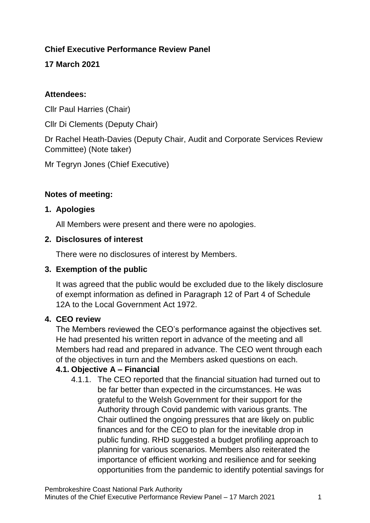### **Chief Executive Performance Review Panel**

**17 March 2021**

### **Attendees:**

Cllr Paul Harries (Chair)

Cllr Di Clements (Deputy Chair)

Dr Rachel Heath-Davies (Deputy Chair, Audit and Corporate Services Review Committee) (Note taker)

Mr Tegryn Jones (Chief Executive)

### **Notes of meeting:**

### **1. Apologies**

All Members were present and there were no apologies.

#### **2. Disclosures of interest**

There were no disclosures of interest by Members.

### **3. Exemption of the public**

It was agreed that the public would be excluded due to the likely disclosure of exempt information as defined in Paragraph 12 of Part 4 of Schedule 12A to the Local Government Act 1972.

### **4. CEO review**

The Members reviewed the CEO's performance against the objectives set. He had presented his written report in advance of the meeting and all Members had read and prepared in advance. The CEO went through each of the objectives in turn and the Members asked questions on each.

### **4.1. Objective A – Financial**

4.1.1. The CEO reported that the financial situation had turned out to be far better than expected in the circumstances. He was grateful to the Welsh Government for their support for the Authority through Covid pandemic with various grants. The Chair outlined the ongoing pressures that are likely on public finances and for the CEO to plan for the inevitable drop in public funding. RHD suggested a budget profiling approach to planning for various scenarios. Members also reiterated the importance of efficient working and resilience and for seeking opportunities from the pandemic to identify potential savings for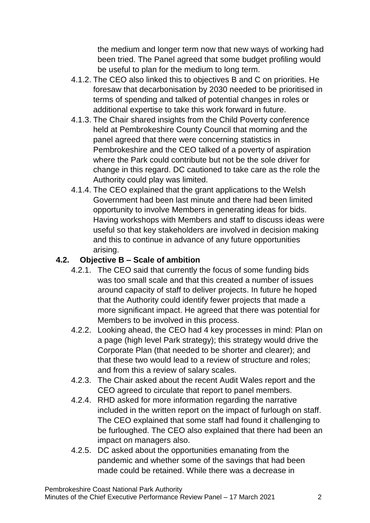the medium and longer term now that new ways of working had been tried. The Panel agreed that some budget profiling would be useful to plan for the medium to long term.

- 4.1.2. The CEO also linked this to objectives B and C on priorities. He foresaw that decarbonisation by 2030 needed to be prioritised in terms of spending and talked of potential changes in roles or additional expertise to take this work forward in future.
- 4.1.3. The Chair shared insights from the Child Poverty conference held at Pembrokeshire County Council that morning and the panel agreed that there were concerning statistics in Pembrokeshire and the CEO talked of a poverty of aspiration where the Park could contribute but not be the sole driver for change in this regard. DC cautioned to take care as the role the Authority could play was limited.
- 4.1.4. The CEO explained that the grant applications to the Welsh Government had been last minute and there had been limited opportunity to involve Members in generating ideas for bids. Having workshops with Members and staff to discuss ideas were useful so that key stakeholders are involved in decision making and this to continue in advance of any future opportunities arising.

### **4.2. Objective B – Scale of ambition**

- 4.2.1. The CEO said that currently the focus of some funding bids was too small scale and that this created a number of issues around capacity of staff to deliver projects. In future he hoped that the Authority could identify fewer projects that made a more significant impact. He agreed that there was potential for Members to be involved in this process.
- 4.2.2. Looking ahead, the CEO had 4 key processes in mind: Plan on a page (high level Park strategy); this strategy would drive the Corporate Plan (that needed to be shorter and clearer); and that these two would lead to a review of structure and roles; and from this a review of salary scales.
- 4.2.3. The Chair asked about the recent Audit Wales report and the CEO agreed to circulate that report to panel members.
- 4.2.4. RHD asked for more information regarding the narrative included in the written report on the impact of furlough on staff. The CEO explained that some staff had found it challenging to be furloughed. The CEO also explained that there had been an impact on managers also.
- 4.2.5. DC asked about the opportunities emanating from the pandemic and whether some of the savings that had been made could be retained. While there was a decrease in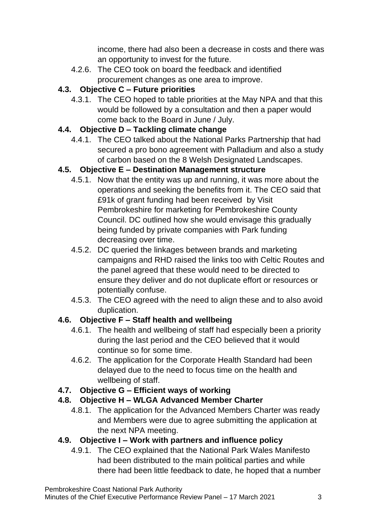income, there had also been a decrease in costs and there was an opportunity to invest for the future.

4.2.6. The CEO took on board the feedback and identified procurement changes as one area to improve.

# **4.3. Objective C – Future priorities**

4.3.1. The CEO hoped to table priorities at the May NPA and that this would be followed by a consultation and then a paper would come back to the Board in June / July.

# **4.4. Objective D – Tackling climate change**

4.4.1. The CEO talked about the National Parks Partnership that had secured a pro bono agreement with Palladium and also a study of carbon based on the 8 Welsh Designated Landscapes.

# **4.5. Objective E – Destination Management structure**

- 4.5.1. Now that the entity was up and running, it was more about the operations and seeking the benefits from it. The CEO said that £91k of grant funding had been received by Visit Pembrokeshire for marketing for Pembrokeshire County Council. DC outlined how she would envisage this gradually being funded by private companies with Park funding decreasing over time.
- 4.5.2. DC queried the linkages between brands and marketing campaigns and RHD raised the links too with Celtic Routes and the panel agreed that these would need to be directed to ensure they deliver and do not duplicate effort or resources or potentially confuse.
- 4.5.3. The CEO agreed with the need to align these and to also avoid duplication.

# **4.6. Objective F – Staff health and wellbeing**

- 4.6.1. The health and wellbeing of staff had especially been a priority during the last period and the CEO believed that it would continue so for some time.
- 4.6.2. The application for the Corporate Health Standard had been delayed due to the need to focus time on the health and wellbeing of staff.

# **4.7. Objective G – Efficient ways of working**

# **4.8. Objective H – WLGA Advanced Member Charter**

4.8.1. The application for the Advanced Members Charter was ready and Members were due to agree submitting the application at the next NPA meeting.

# **4.9. Objective I – Work with partners and influence policy**

4.9.1. The CEO explained that the National Park Wales Manifesto had been distributed to the main political parties and while there had been little feedback to date, he hoped that a number